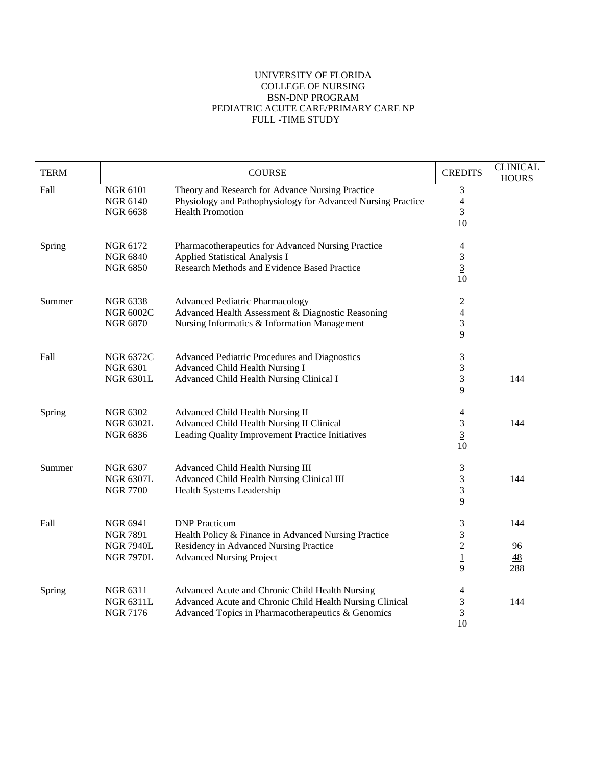## UNIVERSITY OF FLORIDA COLLEGE OF NURSING BSN-DNP PROGRAM PEDIATRIC ACUTE CARE/PRIMARY CARE NP FULL -TIME STUDY

| <b>TERM</b> |                                                                            | <b>COURSE</b>                                                                                                                                                     | <b>CREDITS</b>                                        | <b>CLINICAL</b><br><b>HOURS</b> |
|-------------|----------------------------------------------------------------------------|-------------------------------------------------------------------------------------------------------------------------------------------------------------------|-------------------------------------------------------|---------------------------------|
| Fall        | <b>NGR 6101</b><br><b>NGR 6140</b><br><b>NGR 6638</b>                      | Theory and Research for Advance Nursing Practice<br>Physiology and Pathophysiology for Advanced Nursing Practice<br><b>Health Promotion</b>                       | 3<br>$\overline{\mathcal{L}}$<br>$\overline{3}$<br>10 |                                 |
| Spring      | NGR 6172<br><b>NGR 6840</b><br><b>NGR 6850</b>                             | Pharmacotherapeutics for Advanced Nursing Practice<br>Applied Statistical Analysis I<br>Research Methods and Evidence Based Practice                              | 4<br>3<br>$\frac{3}{10}$                              |                                 |
| Summer      | <b>NGR 6338</b><br><b>NGR 6002C</b><br><b>NGR 6870</b>                     | <b>Advanced Pediatric Pharmacology</b><br>Advanced Health Assessment & Diagnostic Reasoning<br>Nursing Informatics & Information Management                       | 2<br>$\frac{4}{9}$                                    |                                 |
| Fall        | <b>NGR 6372C</b><br><b>NGR 6301</b><br><b>NGR 6301L</b>                    | Advanced Pediatric Procedures and Diagnostics<br>Advanced Child Health Nursing I<br>Advanced Child Health Nursing Clinical I                                      | 3<br>3<br>$rac{3}{9}$                                 | 144                             |
| Spring      | <b>NGR 6302</b><br><b>NGR 6302L</b><br><b>NGR 6836</b>                     | Advanced Child Health Nursing II<br>Advanced Child Health Nursing II Clinical<br>Leading Quality Improvement Practice Initiatives                                 | 4<br>3<br>$\overline{3}$<br>10                        | 144                             |
| Summer      | <b>NGR 6307</b><br><b>NGR 6307L</b><br><b>NGR 7700</b>                     | Advanced Child Health Nursing III<br>Advanced Child Health Nursing Clinical III<br>Health Systems Leadership                                                      | 3<br>3<br>$rac{3}{9}$                                 | 144                             |
| Fall        | <b>NGR 6941</b><br><b>NGR 7891</b><br><b>NGR 7940L</b><br><b>NGR 7970L</b> | <b>DNP</b> Practicum<br>Health Policy & Finance in Advanced Nursing Practice<br>Residency in Advanced Nursing Practice<br><b>Advanced Nursing Project</b>         | 3<br>3<br>$\overline{2}$<br>$\overline{1}$<br>9       | 144<br>96<br><u>48</u><br>288   |
| Spring      | NGR 6311<br><b>NGR 6311L</b><br><b>NGR 7176</b>                            | Advanced Acute and Chronic Child Health Nursing<br>Advanced Acute and Chronic Child Health Nursing Clinical<br>Advanced Topics in Pharmacotherapeutics & Genomics | 4<br>$\frac{3}{10}$                                   | 144                             |